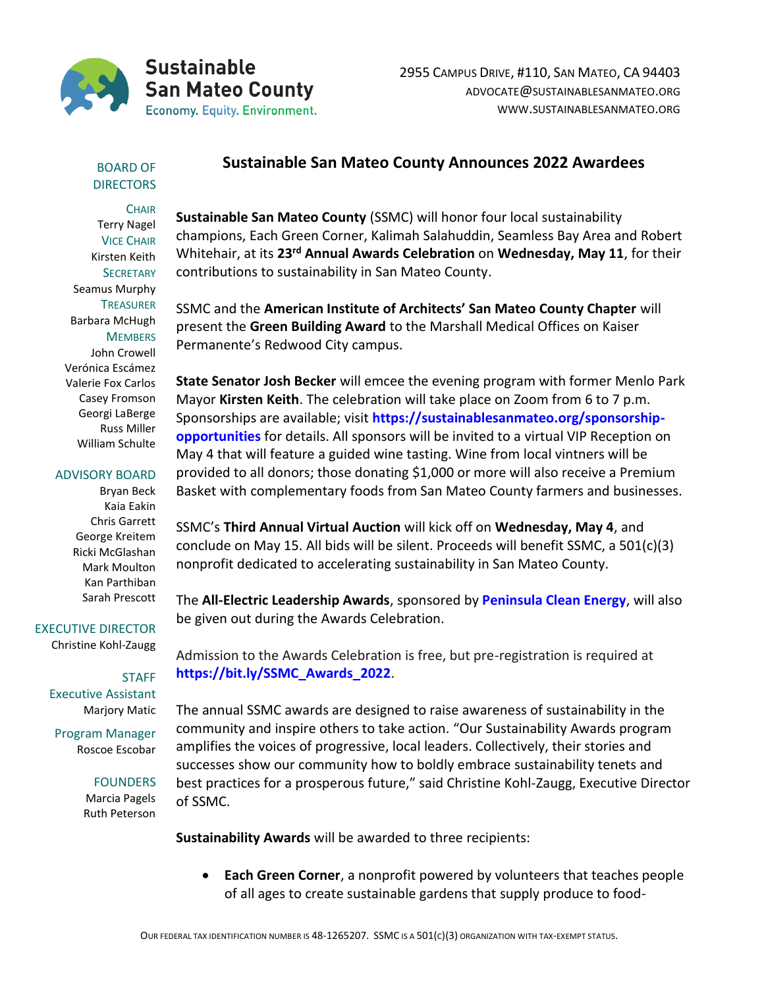

## BOARD OF **DIRECTORS**

**CHAIR** Terry Nagel VICE CHAIR Kirsten Keith **SECRETARY** Seamus Murphy **TREASURER** Barbara McHugh **MEMBERS** John Crowell Verónica Escámez Valerie Fox Carlos Casey Fromson Georgi LaBerge

ADVISORY BOARD

Russ Miller William Schulte

Bryan Beck Kaia Eakin Chris Garrett George Kreitem Ricki McGlashan Mark Moulton Kan Parthiban Sarah Prescott

EXECUTIVE DIRECTOR

Christine Kohl-Zaugg

**STAFF** Executive Assistant Marjory Matic

Program Manager Roscoe Escobar

## FOUNDERS

Marcia Pagels Ruth Peterson **Sustainable San Mateo County Announces 2022 Awardees**

**Sustainable San Mateo County** (SSMC) will honor four local sustainability champions, Each Green Corner, Kalimah Salahuddin, Seamless Bay Area and Robert Whitehair, at its **23rd Annual Awards Celebration** on **Wednesday, May 11**, for their contributions to sustainability in San Mateo County.

SSMC and the **American Institute of Architects' San Mateo County Chapter** will present the **Green Building Award** to the Marshall Medical Offices on Kaiser Permanente's Redwood City campus.

**State Senator Josh Becker** will emcee the evening program with former Menlo Park Mayor **Kirsten Keith**. The celebration will take place on Zoom from 6 to 7 p.m. Sponsorships are available; visit **[https://sustainablesanmateo.org/sponsorship](https://sustainablesanmateo.org/sponsorship-opportunities/)[opportunities](https://sustainablesanmateo.org/sponsorship-opportunities/)** for details. All sponsors will be invited to a virtual VIP Reception on May 4 that will feature a guided wine tasting. Wine from local vintners will be provided to all donors; those donating \$1,000 or more will also receive a Premium Basket with complementary foods from San Mateo County farmers and businesses.

SSMC's **Third Annual Virtual Auction** will kick off on **Wednesday, May 4**, and conclude on May 15. All bids will be silent. Proceeds will benefit SSMC, a 501(c)(3) nonprofit dedicated to accelerating sustainability in San Mateo County.

The **All-Electric Leadership Awards**, sponsored by **[Peninsula Clean Energy](https://www.peninsulacleanenergy.com/)**, will also be given out during the Awards Celebration.

Admission to the Awards Celebration is free, but pre-registration is required at **[https://bit.ly/SSMC\\_Awards\\_2022](https://bit.ly/SSMC_Awards_2022)**.

The annual SSMC awards are designed to raise awareness of sustainability in the community and inspire others to take action. "Our Sustainability Awards program amplifies the voices of progressive, local leaders. Collectively, their stories and successes show our community how to boldly embrace sustainability tenets and best practices for a prosperous future," said Christine Kohl-Zaugg, Executive Director of SSMC.

**Sustainability Awards** will be awarded to three recipients:

• **Each Green Corner**, a nonprofit powered by volunteers that teaches people of all ages to create sustainable gardens that supply produce to food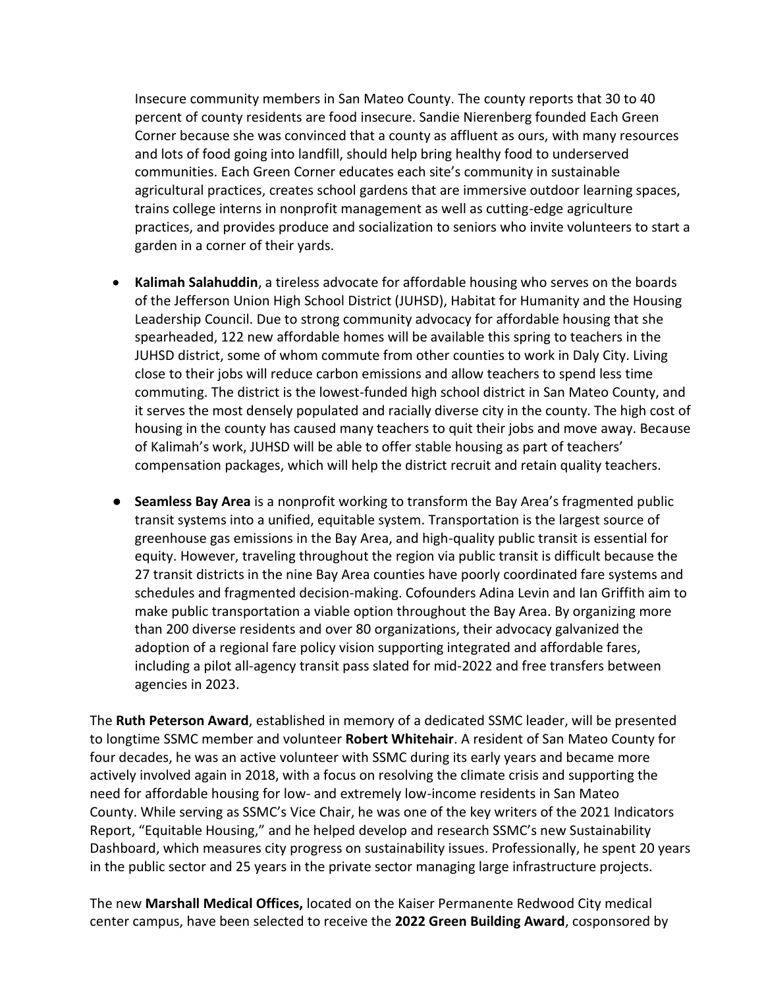Insecure community members in San Mateo County. The county reports that 30 to 40 percent of county residents are food insecure. Sandie Nierenberg founded Each Green Corner because she was convinced that a county as affluent as ours, with many resources and lots of food going into landfill, should help bring healthy food to underserved communities. Each Green Corner educates each site's community in sustainable agricultural practices, creates school gardens that are immersive outdoor learning spaces, trains college interns in nonprofit management as well as cutting-edge agriculture practices, and provides produce and socialization to seniors who invite volunteers to start a garden in a corner of their yards.

- **Kalimah Salahuddin**, a tireless advocate for affordable housing who serves on the boards of the Jefferson Union High School District (JUHSD), Habitat for Humanity and the Housing Leadership Council. Due to strong community advocacy for affordable housing that she spearheaded, 122 new affordable homes will be available this spring to teachers in the JUHSD district, some of whom commute from other counties to work in Daly City. Living close to their jobs will reduce carbon emissions and allow teachers to spend less time commuting. The district is the lowest-funded high school district in San Mateo County, and it serves the most densely populated and racially diverse city in the county. The high cost of housing in the county has caused many teachers to quit their jobs and move away. Because of Kalimah's work, JUHSD will be able to offer stable housing as part of teachers' compensation packages, which will help the district recruit and retain quality teachers.
- **Seamless Bay Area** is a nonprofit working to transform the Bay Area's fragmented public transit systems into a unified, equitable system. Transportation is the largest source of greenhouse gas emissions in the Bay Area, and high-quality public transit is essential for equity. However, traveling throughout the region via public transit is difficult because the 27 transit districts in the nine Bay Area counties have poorly coordinated fare systems and schedules and fragmented decision-making. Cofounders Adina Levin and Ian Griffith aim to make public transportation a viable option throughout the Bay Area. By organizing more than 200 diverse residents and over 80 organizations, their advocacy galvanized the adoption of a regional fare policy vision supporting integrated and affordable fares, including a pilot all-agency transit pass slated for mid-2022 and free transfers between agencies in 2023.

The **Ruth Peterson Award**, established in memory of a dedicated SSMC leader, will be presented to longtime SSMC member and volunteer **Robert Whitehair**. A resident of San Mateo County for four decades, he was an active volunteer with SSMC during its early years and became more actively involved again in 2018, with a focus on resolving the climate crisis and supporting the need for affordable housing for low- and extremely low-income residents in San Mateo County. While serving as SSMC's Vice Chair, he was one of the key writers of the 2021 Indicators Report, "Equitable Housing," and he helped develop and research SSMC's new Sustainability Dashboard, which measures city progress on sustainability issues. Professionally, he spent 20 years in the public sector and 25 years in the private sector managing large infrastructure projects.

The new **Marshall Medical Offices,** located on the Kaiser Permanente Redwood City medical center campus, have been selected to receive the **2022 Green Building Award**, cosponsored by